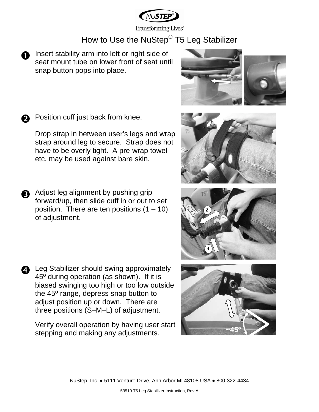

Transforming Lives®

# How to Use the NuStep<sup>®</sup> T5 Leg Stabilizer

n Insert stability arm into left or right side of seat mount tube on lower front of seat until snap button pops into place.

**O** Position cuff just back from knee.

Drop strap in between user's legs and wrap strap around leg to secure. Strap does not have to be overly tight. A pre-wrap towel etc. may be used against bare skin.

**a** Adjust leg alignment by pushing grip forward/up, then slide cuff in or out to set position. There are ten positions  $(1 - 10)$ of adjustment.

**Q** Leg Stabilizer should swing approximately 45º during operation (as shown). If it is biased swinging too high or too low outside the 45º range, depress snap button to adjust position up or down. There are three positions (S–M–L) of adjustment.

Verify overall operation by having user start stepping and making any adjustments.